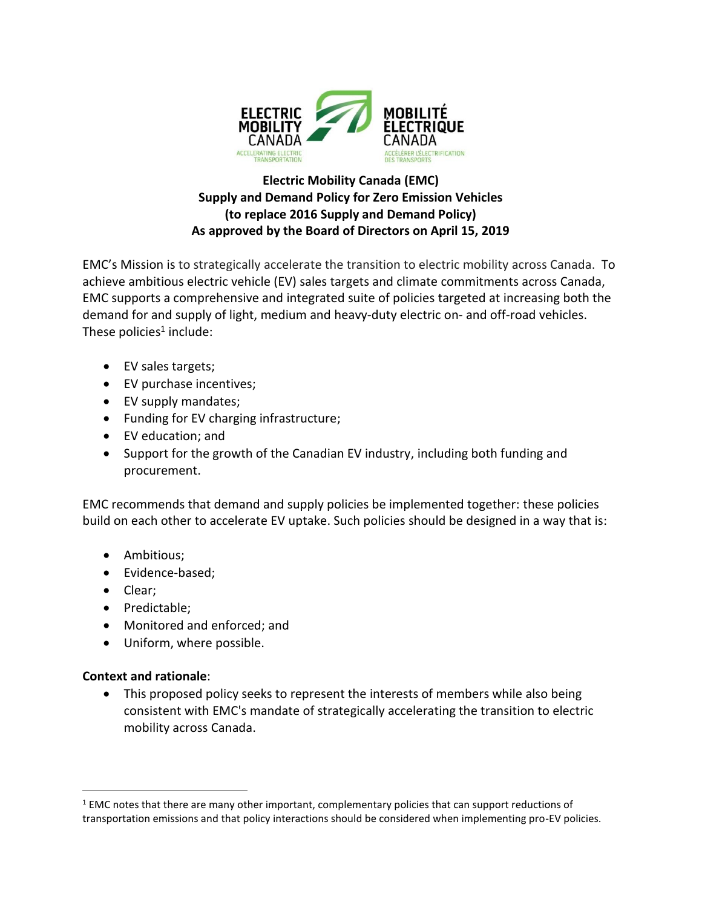

## **Electric Mobility Canada (EMC) Supply and Demand Policy for Zero Emission Vehicles (to replace 2016 Supply and Demand Policy) As approved by the Board of Directors on April 15, 2019**

EMC's Mission is to strategically accelerate the transition to electric mobility across Canada. To achieve ambitious electric vehicle (EV) sales targets and climate commitments across Canada, EMC supports a comprehensive and integrated suite of policies targeted at increasing both the demand for and supply of light, medium and heavy-duty electric on- and off-road vehicles. These policies<sup>1</sup> include:

- EV sales targets;
- EV purchase incentives;
- EV supply mandates;
- Funding for EV charging infrastructure;
- EV education; and
- Support for the growth of the Canadian EV industry, including both funding and procurement.

EMC recommends that demand and supply policies be implemented together: these policies build on each other to accelerate EV uptake. Such policies should be designed in a way that is:

- Ambitious;
- Evidence-based;
- Clear;
- Predictable;
- Monitored and enforced; and
- Uniform, where possible.

## **Context and rationale**:

 $\overline{a}$ 

• This proposed policy seeks to represent the interests of members while also being consistent with EMC's mandate of strategically accelerating the transition to electric mobility across Canada.

 $1$  EMC notes that there are many other important, complementary policies that can support reductions of transportation emissions and that policy interactions should be considered when implementing pro-EV policies.